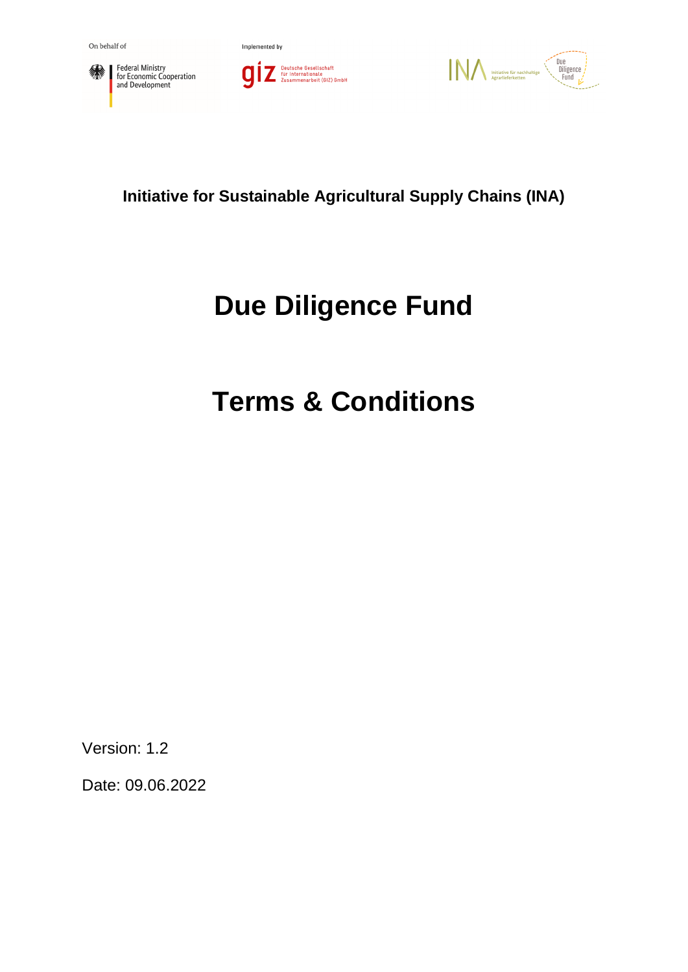





**Initiative for Sustainable Agricultural Supply Chains (INA)**

# **Due Diligence Fund**

# **Terms & Conditions**

Version: 1.2

Date: 09.06.2022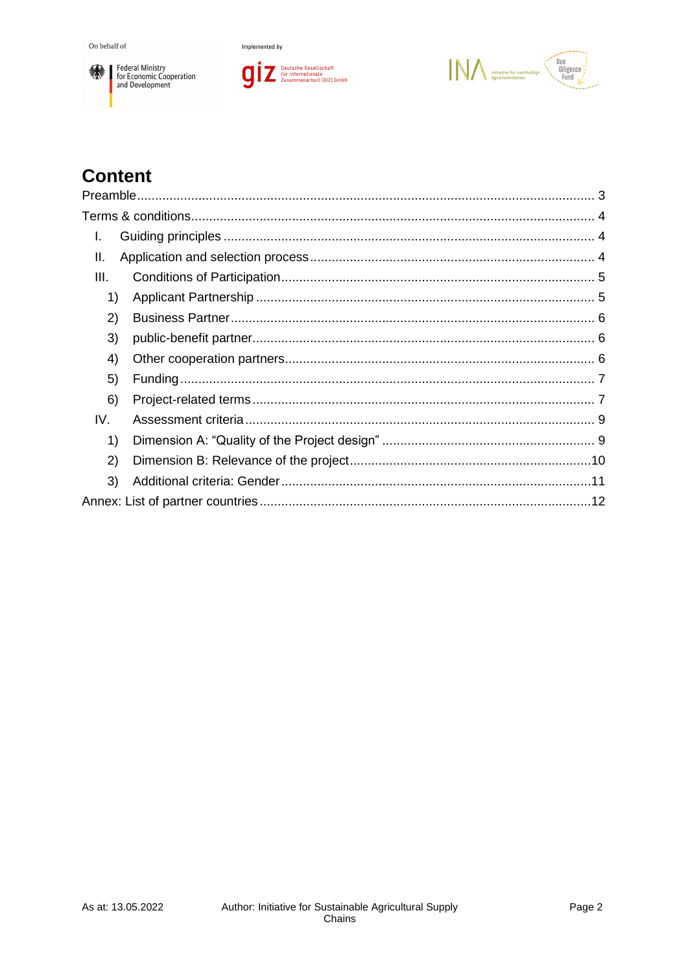





# **Content**

| I.   |  |
|------|--|
| Ш.   |  |
| III. |  |
| 1)   |  |
| 2)   |  |
| 3)   |  |
| 4)   |  |
| 5)   |  |
| 6)   |  |
| IV.  |  |
| 1)   |  |
| 2)   |  |
| 3)   |  |
|      |  |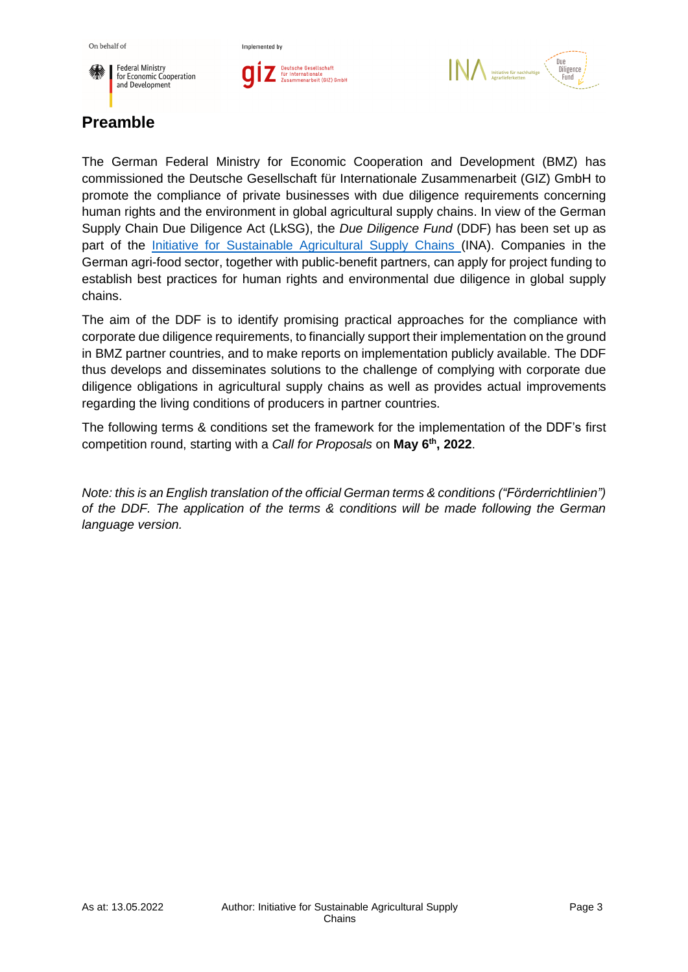





# <span id="page-2-0"></span>**Preamble**

The German Federal Ministry for Economic Cooperation and Development (BMZ) has commissioned the Deutsche Gesellschaft für Internationale Zusammenarbeit (GIZ) GmbH to promote the compliance of private businesses with due diligence requirements concerning human rights and the environment in global agricultural supply chains. In view of the German Supply Chain Due Diligence Act (LkSG), the *Due Diligence Fund* (DDF) has been set up as part of the [Initiative for Sustainable Agricultural Supply Chains](https://www.nachhaltige-agrarlieferketten.org/) (INA). Companies in the German agri-food sector, together with public-benefit partners, can apply for project funding to establish best practices for human rights and environmental due diligence in global supply chains.

The aim of the DDF is to identify promising practical approaches for the compliance with corporate due diligence requirements, to financially support their implementation on the ground in BMZ partner countries, and to make reports on implementation publicly available. The DDF thus develops and disseminates solutions to the challenge of complying with corporate due diligence obligations in agricultural supply chains as well as provides actual improvements regarding the living conditions of producers in partner countries.

The following terms & conditions set the framework for the implementation of the DDF's first competition round, starting with a *Call for Proposals* on **May 6 th , 2022**.

*Note: this is an English translation of the official German terms & conditions ("Förderrichtlinien") of the DDF. The application of the terms & conditions will be made following the German language version.*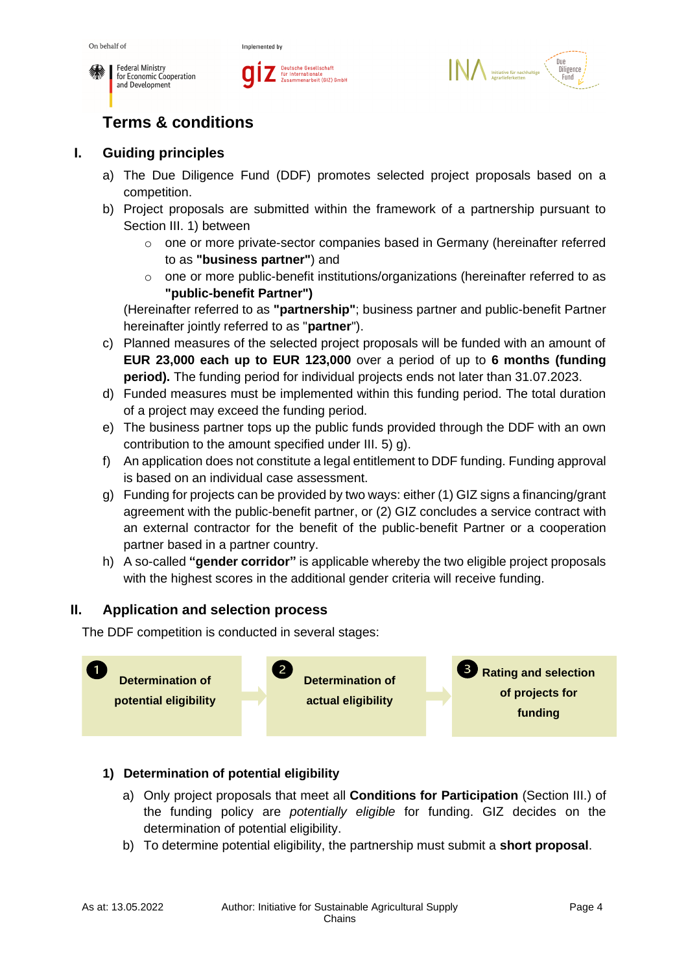





# <span id="page-3-0"></span>**Terms & conditions**

## <span id="page-3-1"></span>**I. Guiding principles**

- a) The Due Diligence Fund (DDF) promotes selected project proposals based on a competition.
- b) Project proposals are submitted within the framework of a partnership pursuant to Section III. 1) between
	- o one or more private-sector companies based in Germany (hereinafter referred to as **"business partner"**) and
	- o one or more public-benefit institutions/organizations (hereinafter referred to as **"public-benefit Partner")**

(Hereinafter referred to as **"partnership"**; business partner and public-benefit Partner hereinafter jointly referred to as "**partner**").

- c) Planned measures of the selected project proposals will be funded with an amount of **EUR 23,000 each up to EUR 123,000** over a period of up to **6 months (funding period).** The funding period for individual projects ends not later than 31.07.2023.
- d) Funded measures must be implemented within this funding period. The total duration of a project may exceed the funding period.
- e) The business partner tops up the public funds provided through the DDF with an own contribution to the amount specified under III. 5) g).
- f) An application does not constitute a legal entitlement to DDF funding. Funding approval is based on an individual case assessment.
- g) Funding for projects can be provided by two ways: either (1) GIZ signs a financing/grant agreement with the public-benefit partner, or (2) GIZ concludes a service contract with an external contractor for the benefit of the public-benefit Partner or a cooperation partner based in a partner country.
- h) A so-called **"gender corridor"** is applicable whereby the two eligible project proposals with the highest scores in the additional gender criteria will receive funding.

## <span id="page-3-2"></span>**II. Application and selection process**

The DDF competition is conducted in several stages:



## **1) Determination of potential eligibility**

- a) Only project proposals that meet all **Conditions for Participation** (Section III.) of the funding policy are *potentially eligible* for funding. GIZ decides on the determination of potential eligibility.
- b) To determine potential eligibility, the partnership must submit a **short proposal**.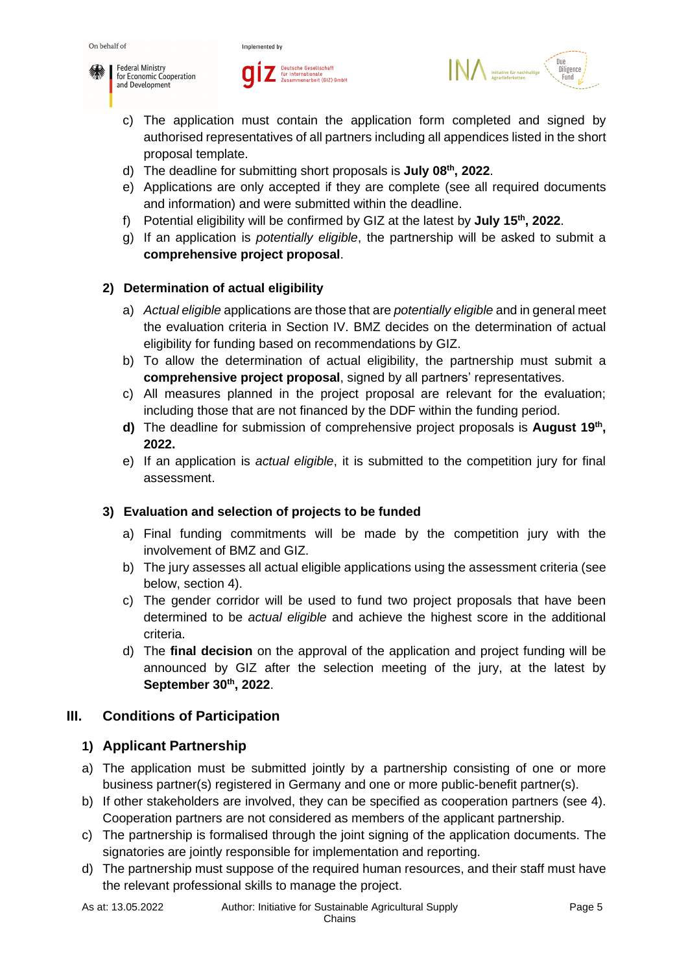





- c) The application must contain the application form completed and signed by authorised representatives of all partners including all appendices listed in the short proposal template.
- d) The deadline for submitting short proposals is **July 08th , 2022**.
- e) Applications are only accepted if they are complete (see all required documents and information) and were submitted within the deadline.
- f) Potential eligibility will be confirmed by GIZ at the latest by **July 15th , 2022**.
- g) If an application is *potentially eligible*, the partnership will be asked to submit a **comprehensive project proposal**.

#### **2) Determination of actual eligibility**

- a) *Actual eligible* applications are those that are *potentially eligible* and in general meet the evaluation criteria in Section IV. BMZ decides on the determination of actual eligibility for funding based on recommendations by GIZ.
- b) To allow the determination of actual eligibility, the partnership must submit a **comprehensive project proposal**, signed by all partners' representatives.
- c) All measures planned in the project proposal are relevant for the evaluation; including those that are not financed by the DDF within the funding period.
- **d)** The deadline for submission of comprehensive project proposals is **August 19th , 2022.**
- e) If an application is *actual eligible*, it is submitted to the competition jury for final assessment.

#### **3) Evaluation and selection of projects to be funded**

- a) Final funding commitments will be made by the competition jury with the involvement of BMZ and GIZ.
- b) The jury assesses all actual eligible applications using the assessment criteria (see below, section 4).
- c) The gender corridor will be used to fund two project proposals that have been determined to be *actual eligible* and achieve the highest score in the additional criteria.
- d) The **final decision** on the approval of the application and project funding will be announced by GIZ after the selection meeting of the jury, at the latest by **September 30th , 2022**.

## <span id="page-4-0"></span>**III. Conditions of Participation**

#### <span id="page-4-1"></span>**1) Applicant Partnership**

- a) The application must be submitted jointly by a partnership consisting of one or more business partner(s) registered in Germany and one or more public-benefit partner(s).
- b) If other stakeholders are involved, they can be specified as cooperation partners (see 4). Cooperation partners are not considered as members of the applicant partnership.
- c) The partnership is formalised through the joint signing of the application documents. The signatories are jointly responsible for implementation and reporting.
- d) The partnership must suppose of the required human resources, and their staff must have the relevant professional skills to manage the project.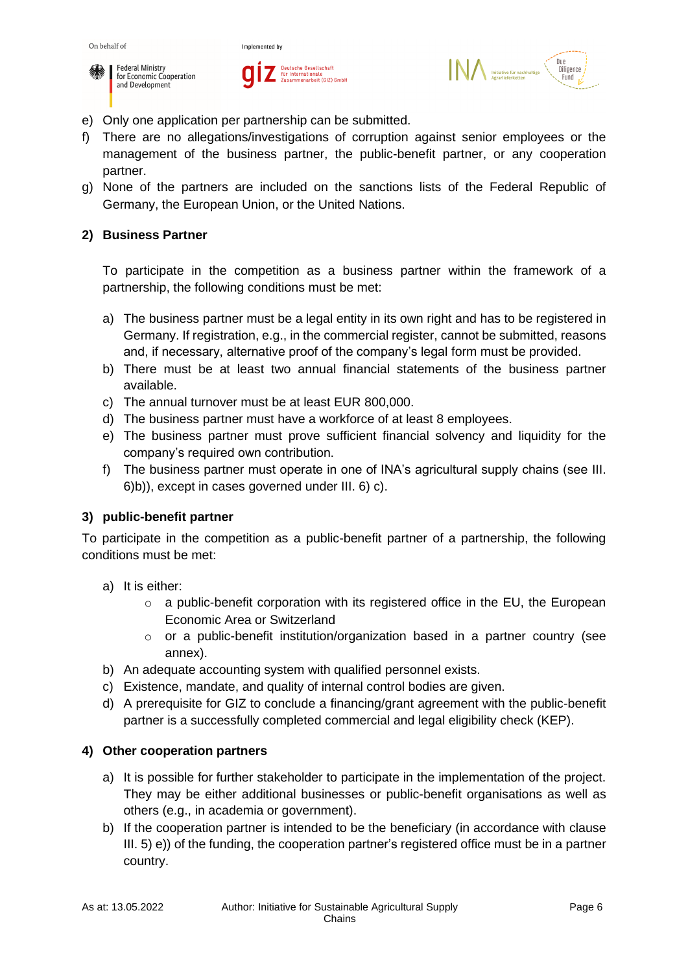





- e) Only one application per partnership can be submitted.
- f) There are no allegations/investigations of corruption against senior employees or the management of the business partner, the public-benefit partner, or any cooperation partner.
- g) None of the partners are included on the sanctions lists of the Federal Republic of Germany, the European Union, or the United Nations.

#### <span id="page-5-0"></span>**2) Business Partner**

To participate in the competition as a business partner within the framework of a partnership, the following conditions must be met:

- a) The business partner must be a legal entity in its own right and has to be registered in Germany. If registration, e.g., in the commercial register, cannot be submitted, reasons and, if necessary, alternative proof of the company's legal form must be provided.
- b) There must be at least two annual financial statements of the business partner available.
- c) The annual turnover must be at least EUR 800,000.
- d) The business partner must have a workforce of at least 8 employees.
- e) The business partner must prove sufficient financial solvency and liquidity for the company's required own contribution.
- f) The business partner must operate in one of INA's agricultural supply chains (see III. 6)b)), except in cases governed under III. 6) c).

#### <span id="page-5-1"></span>**3) public-benefit partner**

To participate in the competition as a public-benefit partner of a partnership, the following conditions must be met:

- a) It is either:
	- $\circ$  a public-benefit corporation with its registered office in the EU, the European Economic Area or Switzerland
	- o or a public-benefit institution/organization based in a partner country (see annex).
- b) An adequate accounting system with qualified personnel exists.
- c) Existence, mandate, and quality of internal control bodies are given.
- d) A prerequisite for GIZ to conclude a financing/grant agreement with the public-benefit partner is a successfully completed commercial and legal eligibility check (KEP).

#### <span id="page-5-2"></span>**4) Other cooperation partners**

- a) It is possible for further stakeholder to participate in the implementation of the project. They may be either additional businesses or public-benefit organisations as well as others (e.g., in academia or government).
- b) If the cooperation partner is intended to be the beneficiary (in accordance with clause III. 5) e)) of the funding, the cooperation partner's registered office must be in a partner country.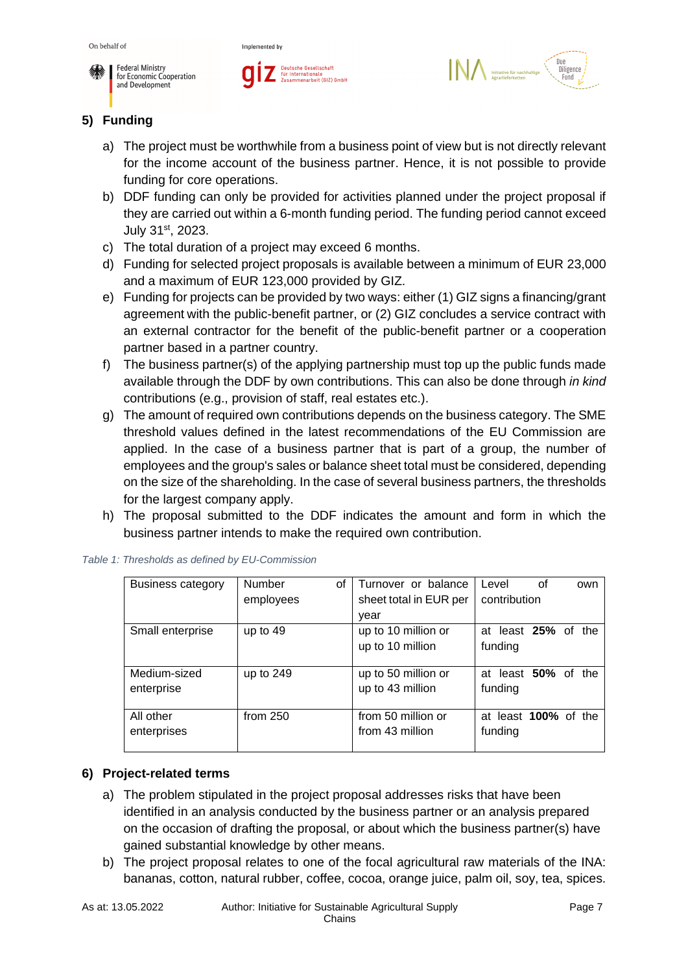





# <span id="page-6-0"></span>**5) Funding**

- a) The project must be worthwhile from a business point of view but is not directly relevant for the income account of the business partner. Hence, it is not possible to provide funding for core operations.
- b) DDF funding can only be provided for activities planned under the project proposal if they are carried out within a 6-month funding period. The funding period cannot exceed July 31<sup>st</sup>, 2023.
- c) The total duration of a project may exceed 6 months.
- d) Funding for selected project proposals is available between a minimum of EUR 23,000 and a maximum of EUR 123,000 provided by GIZ.
- e) Funding for projects can be provided by two ways: either (1) GIZ signs a financing/grant agreement with the public-benefit partner, or (2) GIZ concludes a service contract with an external contractor for the benefit of the public-benefit partner or a cooperation partner based in a partner country.
- f) The business partner(s) of the applying partnership must top up the public funds made available through the DDF by own contributions. This can also be done through *in kind* contributions (e.g., provision of staff, real estates etc.).
- g) The amount of required own contributions depends on the business category. The SME threshold values defined in the latest recommendations of the EU Commission are applied. In the case of a business partner that is part of a group, the number of employees and the group's sales or balance sheet total must be considered, depending on the size of the shareholding. In the case of several business partners, the thresholds for the largest company apply.
- h) The proposal submitted to the DDF indicates the amount and form in which the business partner intends to make the required own contribution.

| Business category | Number<br>οf | Turnover or balance    | Level                | οf | own |
|-------------------|--------------|------------------------|----------------------|----|-----|
|                   | employees    | sheet total in EUR per | contribution         |    |     |
|                   |              | year                   |                      |    |     |
| Small enterprise  | up to 49     | up to 10 million or    | at least 25% of the  |    |     |
|                   |              | up to 10 million       | funding              |    |     |
|                   |              |                        |                      |    |     |
| Medium-sized      | up to 249    | up to 50 million or    | at least 50% of the  |    |     |
| enterprise        |              | up to 43 million       | funding              |    |     |
|                   |              |                        |                      |    |     |
| All other         | from $250$   | from 50 million or     | at least 100% of the |    |     |
| enterprises       |              | from 43 million        | funding              |    |     |
|                   |              |                        |                      |    |     |

*Table 1: Thresholds as defined by EU-Commission*

#### <span id="page-6-1"></span>**6) Project-related terms**

- a) The problem stipulated in the project proposal addresses risks that have been identified in an analysis conducted by the business partner or an analysis prepared on the occasion of drafting the proposal, or about which the business partner(s) have gained substantial knowledge by other means.
- b) The project proposal relates to one of the focal agricultural raw materials of the INA: bananas, cotton, natural rubber, coffee, cocoa, orange juice, palm oil, soy, tea, spices.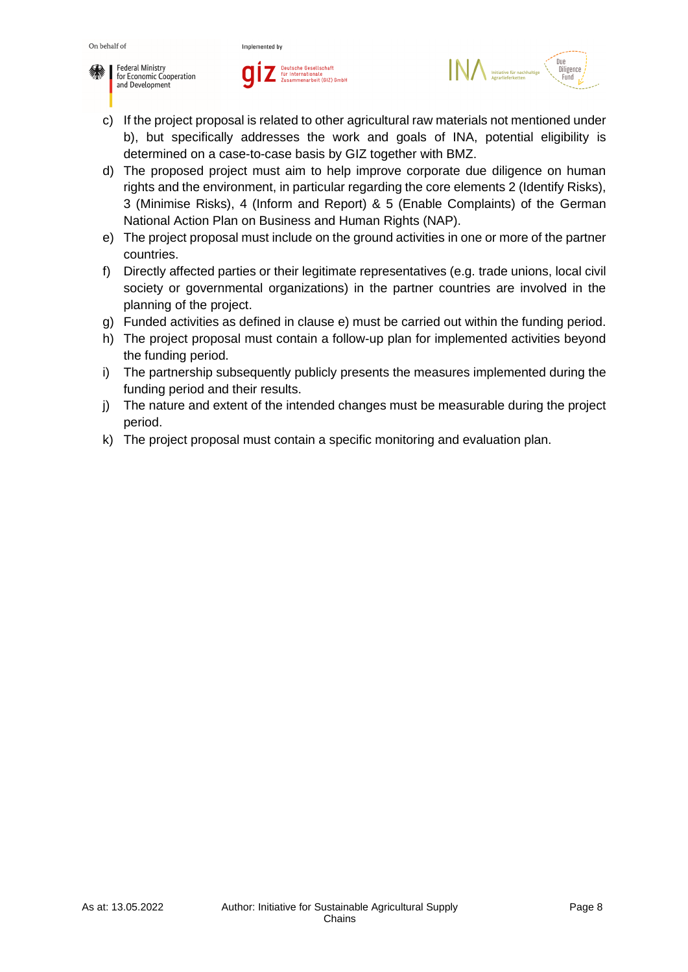





- c) If the project proposal is related to other agricultural raw materials not mentioned under b), but specifically addresses the work and goals of INA, potential eligibility is determined on a case-to-case basis by GIZ together with BMZ.
- d) The proposed project must aim to help improve corporate due diligence on human rights and the environment, in particular regarding the core elements 2 (Identify Risks), 3 (Minimise Risks), 4 (Inform and Report) & 5 (Enable Complaints) of the German National Action Plan on Business and Human Rights (NAP).
- e) The project proposal must include on the ground activities in one or more of the partner countries.
- f) Directly affected parties or their legitimate representatives (e.g. trade unions, local civil society or governmental organizations) in the partner countries are involved in the planning of the project.
- g) Funded activities as defined in clause e) must be carried out within the funding period.
- h) The project proposal must contain a follow-up plan for implemented activities beyond the funding period.
- i) The partnership subsequently publicly presents the measures implemented during the funding period and their results.
- j) The nature and extent of the intended changes must be measurable during the project period.
- k) The project proposal must contain a specific monitoring and evaluation plan.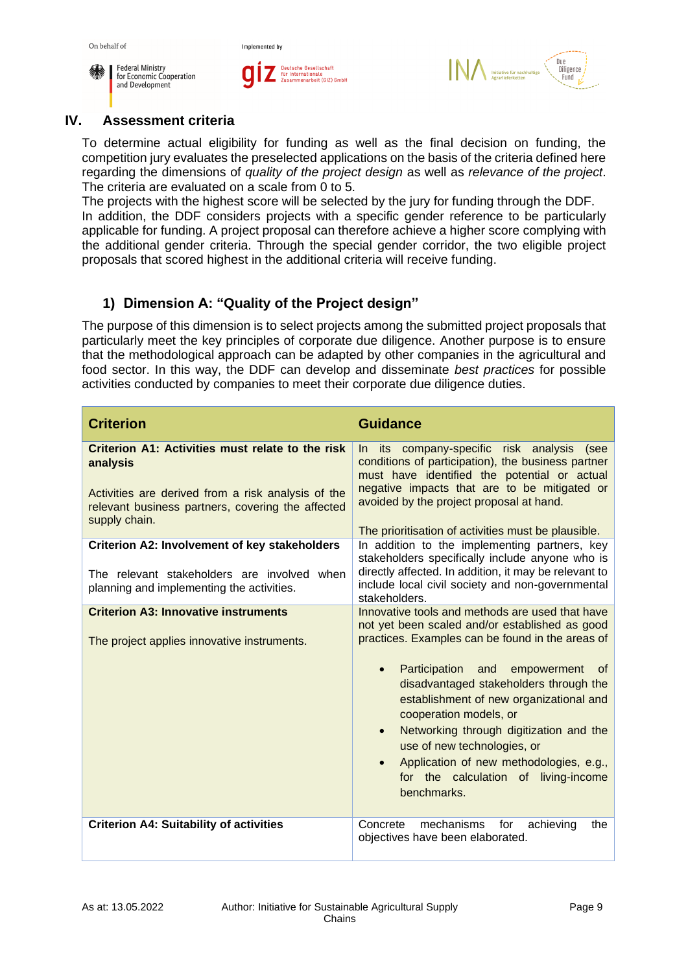

On behalf of



Implemented by



#### <span id="page-8-0"></span>**IV. Assessment criteria**

To determine actual eligibility for funding as well as the final decision on funding, the competition jury evaluates the preselected applications on the basis of the criteria defined here regarding the dimensions of *quality of the project design* as well as *relevance of the project*. The criteria are evaluated on a scale from 0 to 5.

The projects with the highest score will be selected by the jury for funding through the DDF. In addition, the DDF considers projects with a specific gender reference to be particularly applicable for funding. A project proposal can therefore achieve a higher score complying with the additional gender criteria. Through the special gender corridor, the two eligible project proposals that scored highest in the additional criteria will receive funding.

## <span id="page-8-1"></span>**1) Dimension A: "Quality of the Project design"**

The purpose of this dimension is to select projects among the submitted project proposals that particularly meet the key principles of corporate due diligence. Another purpose is to ensure that the methodological approach can be adapted by other companies in the agricultural and food sector. In this way, the DDF can develop and disseminate *best practices* for possible activities conducted by companies to meet their corporate due diligence duties.

| <b>Criterion</b>                                                                                                                                                                         | <b>Guidance</b>                                                                                                                                                                                                                                                                                                                                                                                                                                                                                           |
|------------------------------------------------------------------------------------------------------------------------------------------------------------------------------------------|-----------------------------------------------------------------------------------------------------------------------------------------------------------------------------------------------------------------------------------------------------------------------------------------------------------------------------------------------------------------------------------------------------------------------------------------------------------------------------------------------------------|
| Criterion A1: Activities must relate to the risk<br>analysis<br>Activities are derived from a risk analysis of the<br>relevant business partners, covering the affected<br>supply chain. | its company-specific risk analysis<br>In.<br>(see<br>conditions of participation), the business partner<br>must have identified the potential or actual<br>negative impacts that are to be mitigated or<br>avoided by the project proposal at hand.<br>The prioritisation of activities must be plausible.                                                                                                                                                                                                |
| Criterion A2: Involvement of key stakeholders<br>The relevant stakeholders are involved when<br>planning and implementing the activities.                                                | In addition to the implementing partners, key<br>stakeholders specifically include anyone who is<br>directly affected. In addition, it may be relevant to<br>include local civil society and non-governmental<br>stakeholders.                                                                                                                                                                                                                                                                            |
| <b>Criterion A3: Innovative instruments</b><br>The project applies innovative instruments.                                                                                               | Innovative tools and methods are used that have<br>not yet been scaled and/or established as good<br>practices. Examples can be found in the areas of<br>Participation and<br>empowerment<br>of -<br>disadvantaged stakeholders through the<br>establishment of new organizational and<br>cooperation models, or<br>Networking through digitization and the<br>$\bullet$<br>use of new technologies, or<br>Application of new methodologies, e.g.,<br>for the calculation of living-income<br>benchmarks. |
| <b>Criterion A4: Suitability of activities</b>                                                                                                                                           | mechanisms<br>Concrete<br>for<br>achieving<br>the<br>objectives have been elaborated.                                                                                                                                                                                                                                                                                                                                                                                                                     |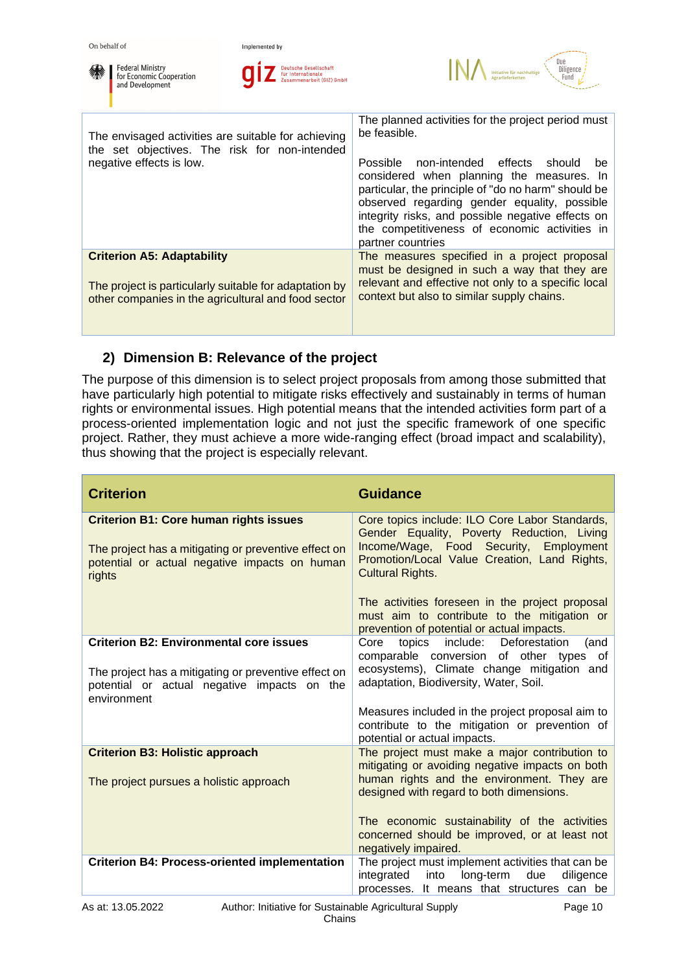





| The envisaged activities are suitable for achieving<br>the set objectives. The risk for non-intended<br>negative effects is low.                   | The planned activities for the project period must<br>be feasible.<br>non-intended effects<br>Possible<br>should<br>be.<br>considered when planning the measures. In<br>particular, the principle of "do no harm" should be<br>observed regarding gender equality, possible<br>integrity risks, and possible negative effects on<br>the competitiveness of economic activities in<br>partner countries |
|----------------------------------------------------------------------------------------------------------------------------------------------------|--------------------------------------------------------------------------------------------------------------------------------------------------------------------------------------------------------------------------------------------------------------------------------------------------------------------------------------------------------------------------------------------------------|
| <b>Criterion A5: Adaptability</b><br>The project is particularly suitable for adaptation by<br>other companies in the agricultural and food sector | The measures specified in a project proposal<br>must be designed in such a way that they are<br>relevant and effective not only to a specific local<br>context but also to similar supply chains.                                                                                                                                                                                                      |

# <span id="page-9-0"></span>**2) Dimension B: Relevance of the project**

The purpose of this dimension is to select project proposals from among those submitted that have particularly high potential to mitigate risks effectively and sustainably in terms of human rights or environmental issues. High potential means that the intended activities form part of a process-oriented implementation logic and not just the specific framework of one specific project. Rather, they must achieve a more wide-ranging effect (broad impact and scalability), thus showing that the project is especially relevant.

| <b>Criterion</b>                                                                                                   | <b>Guidance</b>                                                                                                                              |  |  |
|--------------------------------------------------------------------------------------------------------------------|----------------------------------------------------------------------------------------------------------------------------------------------|--|--|
| <b>Criterion B1: Core human rights issues</b>                                                                      | Core topics include: ILO Core Labor Standards,<br>Gender Equality, Poverty Reduction, Living<br>Income/Wage, Food Security,<br>Employment    |  |  |
| The project has a mitigating or preventive effect on<br>potential or actual negative impacts on human<br>rights    | Promotion/Local Value Creation, Land Rights,<br><b>Cultural Rights.</b>                                                                      |  |  |
|                                                                                                                    | The activities foreseen in the project proposal<br>must aim to contribute to the mitigation or<br>prevention of potential or actual impacts. |  |  |
| <b>Criterion B2: Environmental core issues</b>                                                                     | include: Deforestation<br>Core<br>topics<br>(and<br>comparable conversion of other types of                                                  |  |  |
| The project has a mitigating or preventive effect on<br>potential or actual negative impacts on the<br>environment | ecosystems), Climate change mitigation and<br>adaptation, Biodiversity, Water, Soil.                                                         |  |  |
|                                                                                                                    | Measures included in the project proposal aim to<br>contribute to the mitigation or prevention of<br>potential or actual impacts.            |  |  |
| <b>Criterion B3: Holistic approach</b>                                                                             | The project must make a major contribution to<br>mitigating or avoiding negative impacts on both                                             |  |  |
| The project pursues a holistic approach                                                                            | human rights and the environment. They are<br>designed with regard to both dimensions.                                                       |  |  |
|                                                                                                                    | The economic sustainability of the activities<br>concerned should be improved, or at least not<br>negatively impaired.                       |  |  |
| <b>Criterion B4: Process-oriented implementation</b>                                                               | The project must implement activities that can be<br>integrated<br>into<br>long-term<br>due<br>diligence                                     |  |  |
|                                                                                                                    | It means that structures can be<br>processes.                                                                                                |  |  |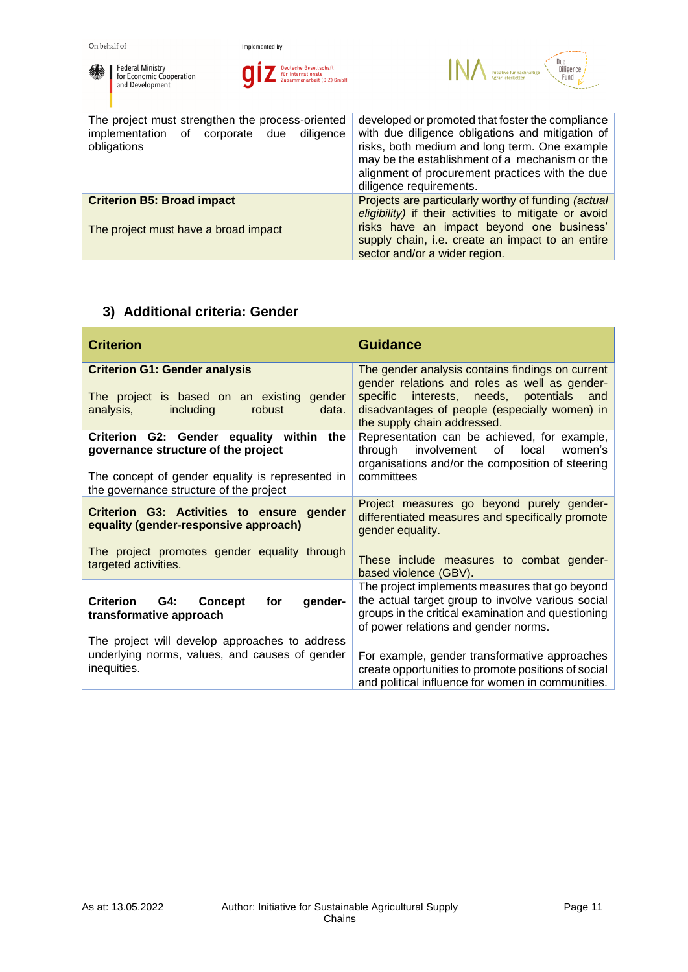

**O** *Lettsche Gesellschaft*<br>*Lettschaft*<br>*Zusammenarbeit (GIZ) GmbH* 



| The project must strengthen the process-oriented<br>implementation of corporate due<br>diligence<br>obligations | developed or promoted that foster the compliance<br>with due diligence obligations and mitigation of<br>risks, both medium and long term. One example<br>may be the establishment of a mechanism or the<br>alignment of procurement practices with the due<br>diligence requirements. |  |  |
|-----------------------------------------------------------------------------------------------------------------|---------------------------------------------------------------------------------------------------------------------------------------------------------------------------------------------------------------------------------------------------------------------------------------|--|--|
| <b>Criterion B5: Broad impact</b><br>The project must have a broad impact                                       | Projects are particularly worthy of funding (actual<br>eligibility) if their activities to mitigate or avoid<br>risks have an impact beyond one business'<br>supply chain, i.e. create an impact to an entire                                                                         |  |  |
|                                                                                                                 | sector and/or a wider region.                                                                                                                                                                                                                                                         |  |  |

# <span id="page-10-0"></span>**3) Additional criteria: Gender**

| <b>Criterion</b>                                                                                                                    | <b>Guidance</b>                                                                                                                                                                                   |
|-------------------------------------------------------------------------------------------------------------------------------------|---------------------------------------------------------------------------------------------------------------------------------------------------------------------------------------------------|
| <b>Criterion G1: Gender analysis</b><br>The project is based on an existing gender                                                  | The gender analysis contains findings on current<br>gender relations and roles as well as gender-<br>specific interests, needs, potentials and                                                    |
| including<br>analysis,<br>robust<br>data.                                                                                           | disadvantages of people (especially women) in<br>the supply chain addressed.                                                                                                                      |
| Criterion G2: Gender equality within the<br>governance structure of the project<br>The concept of gender equality is represented in | Representation can be achieved, for example,<br>involvement<br>of<br>local<br>through<br>women's<br>organisations and/or the composition of steering<br>committees                                |
| the governance structure of the project                                                                                             |                                                                                                                                                                                                   |
| Criterion G3: Activities to ensure gender<br>equality (gender-responsive approach)                                                  | Project measures go beyond purely gender-<br>differentiated measures and specifically promote<br>gender equality.                                                                                 |
| The project promotes gender equality through<br>targeted activities.                                                                | These include measures to combat gender-<br>based violence (GBV).                                                                                                                                 |
| Criterion G4:<br>gender-<br><b>Concept</b><br>for<br>transformative approach                                                        | The project implements measures that go beyond<br>the actual target group to involve various social<br>groups in the critical examination and questioning<br>of power relations and gender norms. |
| The project will develop approaches to address<br>underlying norms, values, and causes of gender                                    |                                                                                                                                                                                                   |
| inequities.                                                                                                                         | For example, gender transformative approaches<br>create opportunities to promote positions of social<br>and political influence for women in communities.                                         |